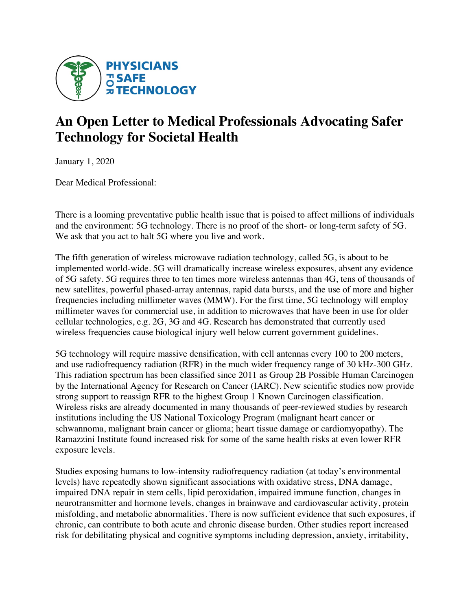

# **An Open Letter to Medical Professionals Advocating Safer Technology for Societal Health**

January 1, 2020

Dear Medical Professional:

There is a looming preventative public health issue that is poised to affect millions of individuals and the environment: 5G technology. There is no proof of the short- or long-term safety of 5G. We ask that you act to halt 5G where you live and work.

The fifth generation of wireless microwave radiation technology, called 5G, is about to be implemented world-wide. 5G will dramatically increase wireless exposures, absent any evidence of 5G safety. 5G requires three to ten times more wireless antennas than 4G, tens of thousands of new satellites, powerful phased-array antennas, rapid data bursts, and the use of more and higher frequencies including millimeter waves (MMW). For the first time, 5G technology will employ millimeter waves for commercial use, in addition to microwaves that have been in use for older cellular technologies, e.g. 2G, 3G and 4G. Research has demonstrated that currently used wireless frequencies cause biological injury well below current government guidelines.

5G technology will require massive densification, with cell antennas every 100 to 200 meters, and use radiofrequency radiation (RFR) in the much wider frequency range of 30 kHz-300 GHz. This radiation spectrum has been classified since 2011 as Group 2B Possible Human Carcinogen by the International Agency for Research on Cancer (IARC). New scientific studies now provide strong support to reassign RFR to the highest Group 1 Known Carcinogen classification. Wireless risks are already documented in many thousands of peer-reviewed studies by research institutions including the US National Toxicology Program (malignant heart cancer or schwannoma, malignant brain cancer or glioma; heart tissue damage or cardiomyopathy). The Ramazzini Institute found increased risk for some of the same health risks at even lower RFR exposure levels.

Studies exposing humans to low-intensity radiofrequency radiation (at today's environmental levels) have repeatedly shown significant associations with oxidative stress, DNA damage, impaired DNA repair in stem cells, lipid peroxidation, impaired immune function, changes in neurotransmitter and hormone levels, changes in brainwave and cardiovascular activity, protein misfolding, and metabolic abnormalities. There is now sufficient evidence that such exposures, if chronic, can contribute to both acute and chronic disease burden. Other studies report increased risk for debilitating physical and cognitive symptoms including depression, anxiety, irritability,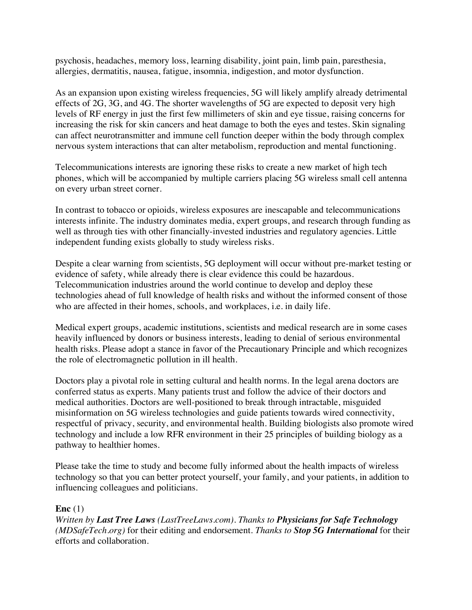psychosis, headaches, memory loss, learning disability, joint pain, limb pain, paresthesia, allergies, dermatitis, nausea, fatigue, insomnia, indigestion, and motor dysfunction.

As an expansion upon existing wireless frequencies, 5G will likely amplify already detrimental effects of 2G, 3G, and 4G. The shorter wavelengths of 5G are expected to deposit very high levels of RF energy in just the first few millimeters of skin and eye tissue, raising concerns for increasing the risk for skin cancers and heat damage to both the eyes and testes. Skin signaling can affect neurotransmitter and immune cell function deeper within the body through complex nervous system interactions that can alter metabolism, reproduction and mental functioning.

Telecommunications interests are ignoring these risks to create a new market of high tech phones, which will be accompanied by multiple carriers placing 5G wireless small cell antenna on every urban street corner.

In contrast to tobacco or opioids, wireless exposures are inescapable and telecommunications interests infinite. The industry dominates media, expert groups, and research through funding as well as through ties with other financially-invested industries and regulatory agencies. Little independent funding exists globally to study wireless risks.

Despite a clear warning from scientists, 5G deployment will occur without pre-market testing or evidence of safety, while already there is clear evidence this could be hazardous. Telecommunication industries around the world continue to develop and deploy these technologies ahead of full knowledge of health risks and without the informed consent of those who are affected in their homes, schools, and workplaces, i.e. in daily life.

Medical expert groups, academic institutions, scientists and medical research are in some cases heavily influenced by donors or business interests, leading to denial of serious environmental health risks. Please adopt a stance in favor of the Precautionary Principle and which recognizes the role of electromagnetic pollution in ill health.

Doctors play a pivotal role in setting cultural and health norms. In the legal arena doctors are conferred status as experts. Many patients trust and follow the advice of their doctors and medical authorities. Doctors are well-positioned to break through intractable, misguided misinformation on 5G wireless technologies and guide patients towards wired connectivity, respectful of privacy, security, and environmental health. Building biologists also promote wired technology and include a low RFR environment in their 25 principles of building biology as a pathway to healthier homes.

Please take the time to study and become fully informed about the health impacts of wireless technology so that you can better protect yourself, your family, and your patients, in addition to influencing colleagues and politicians.

## **Enc** (1)

*Written by Last Tree Laws (LastTreeLaws.com). Thanks to Physicians for Safe Technology (MDSafeTech.org)* for their editing and endorsement*. Thanks to Stop 5G International* for their efforts and collaboration.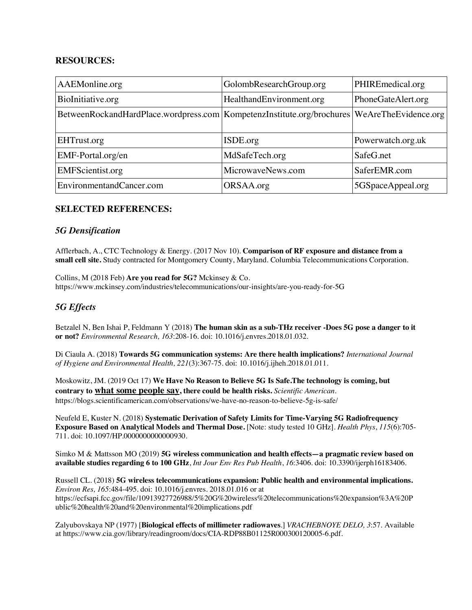#### **RESOURCES:**

| AAEMonline.org                                                                                  | GolombResearchGroup.org  | PHIREmedical.org   |
|-------------------------------------------------------------------------------------------------|--------------------------|--------------------|
| BioInitiative.org                                                                               | HealthandEnvironment.org | PhoneGateAlert.org |
| BetweenRockandHardPlace.wordpress.com   KompetenzInstitute.org/brochures   WeAreTheEvidence.org |                          |                    |
|                                                                                                 |                          |                    |
| EHTrust.org                                                                                     | ISDE.org                 | Powerwatch.org.uk  |
| EMF-Portal.org/en                                                                               | MdSafeTech.org           | SafeG.net          |
| <b>EMFScientist.org</b>                                                                         | MicrowaveNews.com        | SaferEMR.com       |
| EnvironmentandCancer.com                                                                        | ORSAA.org                | 5GSpaceAppeal.org  |

#### **SELECTED REFERENCES:**

#### *5G Densification*

Afflerbach, A., CTC Technology & Energy. (2017 Nov 10). **Comparison of RF exposure and distance from a small cell site.** Study contracted for Montgomery County, Maryland. Columbia Telecommunications Corporation.

Collins, M (2018 Feb) **Are you read for 5G?** Mckinsey & Co. https://www.mckinsey.com/industries/telecommunications/our-insights/are-you-ready-for-5G

# *5G Effects*

Betzalel N, Ben Ishai P, Feldmann Y (2018) **The human skin as a sub-THz receiver -Does 5G pose a danger to it or not?** *Environmental Research, 163*:208-16. doi: 10.1016/j.envres.2018.01.032.

Di Ciaula A. (2018) **Towards 5G communication systems: Are there health implications?** *International Journal of Hygiene and Environmental Health, 221*(3):367-75. doi: 10.1016/j.ijheh.2018.01.011.

Moskowitz, JM. (2019 Oct 17) **We Have No Reason to Believe 5G Is Safe.The technology is coming, but contrary to what some people say, there could be health risks.** *Scientific American*. https://blogs.scientificamerican.com/observations/we-have-no-reason-to-believe-5g-is-safe/

Neufeld E, Kuster N. (2018) **Systematic Derivation of Safety Limits for Time-Varying 5G Radiofrequency Exposure Based on Analytical Models and Thermal Dose.** [Note: study tested 10 GHz]. *Health Phys*, *115*(6):705- 711. doi: 10.1097/HP.0000000000000930.

Simko M & Mattsson MO (2019) **5G wireless communication and health effects—a pragmatic review based on available studies regarding 6 to 100 GHz**, *Int Jour Env Res Pub Health*, *16*:3406. doi: 10.3390/ijerph16183406.

Russell CL. (2018) **5G wireless telecommunications expansion: Public health and environmental implications.**  *Environ Res, 165*:484-495. doi: 10.1016/j.envres. 2018.01.016 or at https://ecfsapi.fcc.gov/file/10913927726988/5%20G%20wireless%20telecommunications%20expansion%3A%20P ublic%20health%20and%20environmental%20implications.pdf

Zalyubovskaya NP (1977) [**Biological effects of millimeter radiowaves**.] *VRACHEBNOYE DELO, 3*:57. Available at https://www.cia.gov/library/readingroom/docs/CIA-RDP88B01125R000300120005-6.pdf.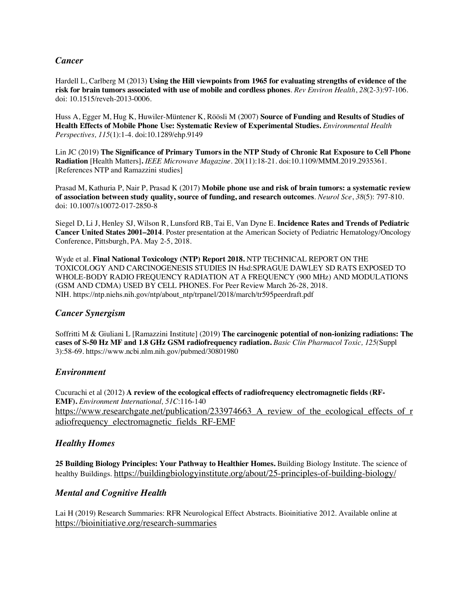#### *Cancer*

Hardell L, Carlberg M (2013) **Using the Hill viewpoints from 1965 for evaluating strengths of evidence of the risk for brain tumors associated with use of mobile and cordless phones**. *Rev Environ Health*, *28*(2-3):97-106. doi: 10.1515/reveh-2013-0006.

Huss A, Egger M, Hug K, Huwiler-Müntener K, Röösli M (2007) **Source of Funding and Results of Studies of Health Effects of Mobile Phone Use: Systematic Review of Experimental Studies.** *Environmental Health Perspectives, 115*(1):1-4. doi:10.1289/ehp.9149

Lin JC (2019) **The Significance of Primary Tumors in the NTP Study of Chronic Rat Exposure to Cell Phone Radiation** [Health Matters]**.** *IEEE Microwave Magazine*. 20(11):18-21. doi:10.1109/MMM.2019.2935361. [References NTP and Ramazzini studies]

Prasad M, Kathuria P, Nair P, Prasad K (2017) **Mobile phone use and risk of brain tumors: a systematic review of association between study quality, source of funding, and research outcomes**. *Neurol Sce*, *38*(5): 797-810. doi: 10.1007/s10072-017-2850-8

Siegel D, Li J, Henley SJ, Wilson R, Lunsford RB, Tai E, Van Dyne E. **Incidence Rates and Trends of Pediatric Cancer United States 2001–2014**. Poster presentation at the American Society of Pediatric Hematology/Oncology Conference, Pittsburgh, PA. May 2-5, 2018.

Wyde et al. **Final National Toxicology (NTP) Report 2018.** NTP TECHNICAL REPORT ON THE TOXICOLOGY AND CARCINOGENESIS STUDIES IN Hsd:SPRAGUE DAWLEY SD RATS EXPOSED TO WHOLE-BODY RADIO FREQUENCY RADIATION AT A FREQUENCY (900 MHz) AND MODULATIONS (GSM AND CDMA) USED BY CELL PHONES. For Peer Review March 26-28, 2018. NIH. https://ntp.niehs.nih.gov/ntp/about\_ntp/trpanel/2018/march/tr595peerdraft.pdf

## *Cancer Synergism*

Soffritti M & Giuliani L [Ramazzini Institute] (2019) **The carcinogenic potential of non-ionizing radiations: The cases of S-50 Hz MF and 1.8 GHz GSM radiofrequency radiation.** *Basic Clin Pharmacol Toxic, 125(*Suppl 3):58-69. https://www.ncbi.nlm.nih.gov/pubmed/30801980

#### *Environment*

Cucurachi et al (2012) **A review of the ecological effects of radiofrequency electromagnetic fields (RF-EMF).** *Environment International, 51C*:116-140 https://www.researchgate.net/publication/233974663 A review of the ecological effects of r adiofrequency\_electromagnetic\_fields\_RF-EMF

## *Healthy Homes*

**25 Building Biology Principles: Your Pathway to Healthier Homes.** Building Biology Institute. The science of healthy Buildings. https://buildingbiologyinstitute.org/about/25-principles-of-building-biology/

#### *Mental and Cognitive Health*

Lai H (2019) Research Summaries: RFR Neurological Effect Abstracts. Bioinitiative 2012. Available online at https://bioinitiative.org/research-summaries